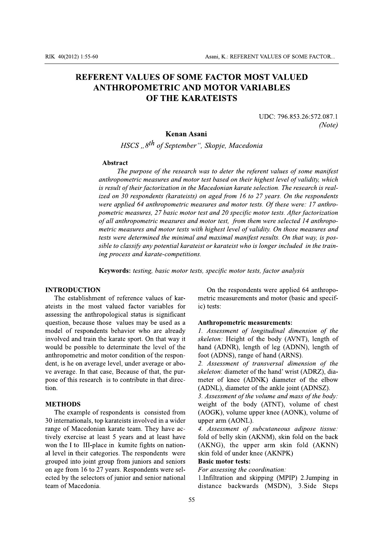# **REFERENT VALUES OF SOME FACTOR MOST VALUED ANTHROPOMETRIC AND MOTOR VARIABLES OF THE KARATEISTS**

UDC: 796.853.26:572.087.1  $(Note)$ 

#### Kenan Asani

HSCS "8<sup>th</sup> of September", Skopje, Macedonia

#### Abstract

The purpose of the research was to deter the referent values of some manifest anthropometric measures and motor test based on their highest level of validity, which is result of their factorization in the Macedonian karate selection. The research is realized on 30 respondents (karateists) on aged from 16 to 27 years. On the respondents were applied 64 anthropometric measures and motor tests. Of these were: 17 anthropometric measures, 27 basic motor test and 20 specific motor tests. After factorization of all anthropometric measures and motor test, from them were selected 14 anthropometric measures and motor tests with highest level of validity. On those measures and tests were determined the minimal and maximal manifest results. On that way, is possible to classify any potential karateist or karateist who is longer included in the training process and karate-competitions.

Keywords: testing, basic motor tests, specific motor tests, factor analysis

## **INTRODUCTION**

The establishment of reference values of karateists in the most valued factor variables for assessing the anthropological status is significant question, because those values may be used as a model of respondents behavior who are already involved and train the karate sport. On that way it would be possible to determinate the level of the anthropometric and motor condition of the respondent, is he on average level, under average or above average. In that case, Because of that, the purpose of this research is to contribute in that direction.

## **METHODS**

The example of respondents is consisted from 30 internationals, top karateists involved in a wider range of Macedonian karate team. They have actively exercise at least 5 years and at least have won the I to III-place in kumite fights on national level in their categories. The respondents were grouped into joint group from juniors and seniors on age from 16 to 27 years. Respondents were selected by the selectors of junior and senior national team of Macedonia.

On the respondents were applied 64 anthropometric measurements and motor (basic and specific) tests:

#### Anthropometric measurements:

1. Assessment of longitudinal dimension of the skeleton: Height of the body (AVNT), length of hand (ADNR), length of leg (ADNN), length of foot (ADNS), range of hand (ARNS).

2. Assessment of transversal dimension of the skeleton: diameter of the hand' wrist (ADRZ), diameter of knee (ADNK) diameter of the elbow (ADNL), diameter of the ankle joint (ADNSZ).

3. Assessment of the volume and mass of the body: weight of the body (ATNT), volume of chest (AOGK), volume upper knee (AONK), volume of upper arm (AONL).

4. Assessment of subcutaneous adipose tissue: fold of belly skin (AKNM), skin fold on the back (AKNG), the upper arm skin fold (AKNN) skin fold of under knee (AKNPK)

# **Basic motor tests:**

For assessing the coordination:

1.Infiltration and skipping (MPIP) 2.Jumping in distance backwards (MSDN), 3. Side Steps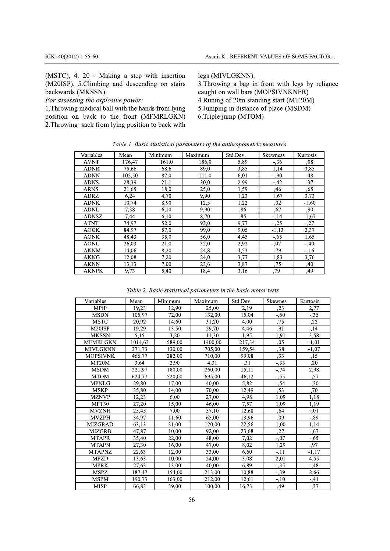(MSTC), 4. 20 - Making a step with insertion (M20ISP), 5. Climbing and descending on stairs backwards (MKSSN).

For assessing the explosive power:

1. Throwing medical ball with the hands from lying position on back to the front (MFMRLGKN) 2. Throwing sack from lying position to back with legs (MIVLGKNN),

3. Throwing a bag in front with legs by reliance caught on wall bars (MOPSIVNKNFR) 4. Runing of 20m standing start (MT20M) 5. Jumping in distance of place (MSDM) 6.Triple jump (MTOM)

|  |  |  | Table 1. Basic statistical parameters of the anthropometric measures |
|--|--|--|----------------------------------------------------------------------|
|--|--|--|----------------------------------------------------------------------|

| Variables    | Mean   | Minimum | Maximum | Std.Dev. | Skewness | Kurtosis |
|--------------|--------|---------|---------|----------|----------|----------|
| <b>AVNT</b>  | 176,47 | 161,0   | 186.0   | 5,89     | $-.36$   | .08      |
| <b>ADNR</b>  | 75.66  | 68,6    | 89,0    | 3,85     | 1,14     | 3,85     |
| <b>ADNN</b>  | 102,50 | 87,0    | 111,0   | 6,01     | $-90$    | ,48      |
| <b>ADNS</b>  | 28,39  | 21,1    | 30,0    | 2.99     | $-42$    | .37      |
| <b>ARNS</b>  | 21,65  | 18,0    | 25,0    | 1,59     | ,46      | ,65      |
| <b>ADRZ</b>  | 6,24   | 4,70    | 9,90    | 1,23     | 1,67     | 3,73     |
| <b>ADNK</b>  | 10,74  | 8,90    | 12,5    | 1,22     | ,02      | $-1,60$  |
| <b>ADNL</b>  | 7,38   | 6,10    | 9,90    | .86      | .67      | ,90      |
| <b>ADNSZ</b> | 7,44   | 6,10    | 8,70    | ,85      | $-14$    | $-1,67$  |
| <b>ATNT</b>  | 74,97  | 52,0    | 93,0    | 9,77     | $-.25$   | $-27$    |
| <b>AOGK</b>  | 84,97  | 57,0    | 99,0    | 9,05     | $-1,13$  | 2,37     |
| <b>AONK</b>  | 48,43  | 35,0    | 56,0    | 4,45     | $-.65$   | 1,65     |
| <b>AONL</b>  | 26,03  | 21,0    | 32,0    | 2,92     | $-.07$   | $-40$    |
| <b>AKNM</b>  | 14,06  | 8,20    | 24,8    | 4,53     | ,79      | $-16$    |
| <b>AKNG</b>  | 12,08  | 7,20    | 24,0    | 3,77     | 1,83     | 3,76     |
| <b>AKNN</b>  | 13,13  | 7,00    | 23,6    | 3,87     | ,75      | ,40      |
| <b>AKNPK</b> | 9,73   | 5,40    | 18,4    | 3,16     | .79      | ,49      |

Table 2. Basic statistical parameters in the basic motor tests

| Variables       | Mean    | Minimum | Maximum | Std.Dev. | Skewnes | Kurtosis |
|-----------------|---------|---------|---------|----------|---------|----------|
| <b>MPIP</b>     | 19,23   | 12,90   | 25,00   | 2,19     | ,23     | 2,77     |
| <b>MSDN</b>     | 105.97  | 72,00   | 132,00  | 15.04    | $-.50$  | $-35$    |
| <b>MSTC</b>     | 20,92   | 14,60   | 31,20   | 4,00     | ,75     | ,22      |
| M20ISP          | 19,29   | 13,50   | 29,70   | 4,46     | ,91     | ,14      |
| <b>MKSSN</b>    | 5,15    | 3,20    | 11.30   | 1,95     | 1,91    | 3,58     |
| <b>MFMRLGKN</b> | 1014,63 | 589,00  | 1400,00 | 217,34   | ,05     | $-1,01$  |
| <b>MIVLGKNN</b> | 371.73  | 130,00  | 705.00  | 159.54   | ,38     | $-1,07$  |
| <b>MOPSIVNK</b> | 466.77  | 282,00  | 710,00  | 99,08    | ,33     | ,15      |
| MT20M           | 3,64    | 2,90    | 4,31    | ,31      | $-33.3$ | ,20      |
| <b>MSDM</b>     | 221.97  | 180,00  | 260,00  | 15.11    | $-0.74$ | 2,98     |
| <b>MTOM</b>     | 624,77  | 520,00  | 695,00  | 46.12    | $-55$   | $-.57$   |
| <b>MPNLG</b>    | 29,80   | 17,00   | 40,00   | 5,82     | $-54$   | $-30$    |
| <b>MSKP</b>     | 35,80   | 14.00   | 70.00   | 12.49    | ,53     | ,70      |
| <b>MZNVP</b>    | 12,23   | 6,00    | 27,00   | 4,98     | 1,09    | 1,18     |
| MPT30           | 27,20   | 15,00   | 46,00   | 7,57     | 1,09    | 1,19     |
| <b>MVZNH</b>    | 25,45   | 7.00    | 57.10   | 12.68    | .64     | $-.01$   |
| <b>MVZPH</b>    | 34,97   | 11,60   | 65,00   | 13,96    | ,09     | $-0.89$  |
| <b>MIZGRAD</b>  | 63,13   | 31,00   | 120,00  | 22,56    | 1,00    | 1,14     |
| MIZGRB          | 47.87   | 10.00   | 92,00   | 23.68    | ,27     | $-.67$   |
| <b>MTAPR</b>    | 35,40   | 22,00   | 48,00   | 7,02     | $-0.07$ | $-0.65$  |
| <b>MTAPN</b>    | 27,30   | 16,00   | 47,00   | 8.02     | 1,29    | .97      |
| <b>MTAPNZ</b>   | 22,63   | 12.00   | 33,00   | 6.60     | $-11$   | $-1.17$  |
| <b>MPZD</b>     | 13,63   | 10,00   | 24,00   | 3,08     | 2,01    | 4,55     |
| <b>MPRK</b>     | 27,63   | 13,00   | 40,00   | 6,89     | $-35$   | $-.48$   |
| <b>MSPZ</b>     | 187,47  | 154,00  | 213,00  | 10,88    | $-39$   | 2,66     |
| <b>MSPM</b>     | 190,73  | 163,00  | 212,00  | 12,61    | $-10$   | $-41$    |
| <b>MISP</b>     | 66,83   | 39,00   | 100,00  | 16,73    | ,49     | $-37$    |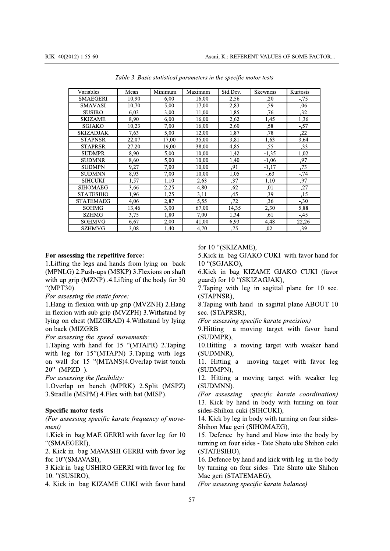| Variables        | Mean  | Minimum | Maximum | Std.Dev.    | <b>Skewness</b> | Kurtosis         |
|------------------|-------|---------|---------|-------------|-----------------|------------------|
| <b>SMAEGERI</b>  | 10,90 | 6,00    | 16,00   | 2,56        | ,20             | $-0.75$          |
| <b>SMAVASI</b>   | 10,70 | 5,00    | 17,00   | 2,83        | ,59             | .06              |
| <b>SUSIRO</b>    | 6.03  | 3,00    | 11,00   | 1,85        | .76             | $\overline{.}32$ |
| SKIZAME          | 8,90  | 6,00    | 16,00   | 2,62        | 1,45            | 1,36             |
| SGJAKO           | 10,23 | 7,00    | 16,00   | 2,60        | ,58             | $-.57$           |
| SKIZADJAK        | 7,63  | 5,00    | 12,00   | 1,87        | ,78             | ,22              |
| <b>STAPNSR</b>   | 22,07 | 17,00   | 35,00   | 3,81        | 1,63            | 3,64             |
| <b>STAPRSR</b>   | 27,20 | 19,00   | 38,00   | 4,85        | ,55             | $-.33$           |
| <b>SUDMPR</b>    | 8,90  | 5,00    | 10,00   | 1,42        | $-1,35$         | 1,02             |
| SUDMNR           | 8,60  | 5,00    | 10.00   | 1,40        | $-1,06$         | ,97              |
| <b>SUDMPN</b>    | 9,27  | 7,00    | 10,00   | ,91         | $-1,17$         | ,73              |
| <b>SUDMNN</b>    | 8,93  | 7,00    | 10,00   | 1,05        | $-.63$          | $-0.74$          |
| <b>SIHCUKI</b>   | 1,57  | 1,10    | 2,63    | ,37         | 1,10            | .97              |
| <b>SIHOMAEG</b>  | 3,66  | 2,25    | 4,80    | .62         | .01             | $-.27$           |
| <b>STATESIHO</b> | 1,96  | 1,25    | 3,11    | ,45         | ,39             | $-15$            |
| STATEMAEG        | 4,06  | 2,87    | 5,55    | $\sqrt{72}$ | .36             | $-30$            |
| <b>SOHMG</b>     | 13,46 | 3.00    | 67,00   | 14.35       | 2,30            | 5,88             |
| <b>SZHMG</b>     | 3,75  | 1,80    | 7,00    | 1,34        | ,61             | $-45$            |
| SOHMVG           | 6,67  | 2,00    | 41,00   | 6,93        | 4,48            | 22,26            |
| SZHMVG           | 3,08  | 1,40    | 4,70    | ,75         | ,02             | ,39              |

Table 3. Basic statistical parameters in the specific motor tests

#### For assessing the repetitive force:

1. Lifting the legs and hands from lying on back (MPNLG) 2. Push-ups (MSKP) 3. Flexions on shaft with up grip (MZNP) .4. Lifting of the body for 30 "(MPT30).

# For assessing the static force:

1. Hang in flexion with up grip (MVZNH) 2. Hang in flexion with sub grip (MVZPH) 3. Withstand by lying on chest (MIZGRAD) 4. Withstand by lying on back (MIZGRB

## For assessing the speed movements:

1. Taping with hand for 15 "(MTAPR) 2. Taping with leg for 15"(MTAPN) 3. Taping with legs on wall for 15 "(MTANS)4.Overlap-twist-touch 20" (MPZD).

For assessing the flexibility:

1. Overlap on bench (MPRK) 2. Split (MSPZ) 3. Stradlle (MSPM) 4. Flex with bat (MISP).

#### **Specific motor tests**

(For assessing specific karate frequency of movement)

1. Kick in bag MAE GERRI with favor leg for 10 "(SMAEGERI),

2. Kick in bag MAVASHI GERRI with favor leg for 10"(SMAVASI),

3 Kick in bag USHIRO GERRI with favor leg for 10. "(SUSIRO),

4. Kick in bag KIZAME CUKI with favor hand

for 10 "(SKIZAME),

5. Kick in bag GJAKO CUKI with favor hand for 10 "(SGJAKO),

6.Kick in bag KIZAME GJAKO CUKI (favor guard) for 10 "(SKIZAGJAK),

7. Taping with leg in sagittal plane for 10 sec. (STAPNSR),

8. Taping with hand in sagittal plane ABOUT 10 sec. (STAPRSR).

(For assessing specific karate precision)

9. Hitting a moving target with favor hand (SUDMPR),

10. Hitting a moving target with weaker hand (SUDMNR),

11. Hitting a moving target with favor leg (SUDMPN),

12. Hitting a moving target with weaker leg (SUDMNN).

(For assessing specific karate coordination) 13. Kick by hand in body with turning on four sides-Shihon cuki (SIHCUKI),

14. Kick by leg in body with turning on four sides-Shihon Mae geri (SIHOMAEG),

15. Defence by hand and blow into the body by turning on four sides - Tate Shuto uke Shihon cuki (STATESIHO),

16. Defence by hand and kick with leg in the body by turning on four sides- Tate Shuto uke Shihon Mae geri (STATEMAEG),

(For assessing specific karate balance)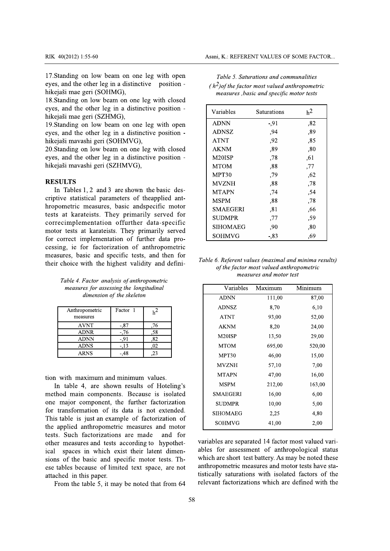17. Standing on low beam on one leg with open eves, and the other leg in a distinctive position hikejaši mae geri (SOHMG),

18. Standing on low beam on one leg with closed eyes, and the other leg in a distinctive position hikejaši mae geri (SZHMG),

19. Standing on low beam on one leg with open eyes, and the other leg in a distinctive position hikejaši mavashi geri (SOHMVG),

20. Standing on low beam on one leg with closed eyes, and the other leg in a distinctive position hikejaši mavashi geri (SZHMVG),

#### **RESULTS**

In Tables 1, 2 and 3 are shown the basic descriptive statistical parameters of the applied anthropometric measures, basic andspecific motor tests at karateists. They primarily served for correcimplementation offurther data-specific motor tests at karateists. They primarily served for correct implementation of further data processing, ie for factorization of anthropometric measures, basic and specific tests, and then for their choice with the highest validity and defini-

Table 4. Factor analysis of anthropometric measures for assessing the longitudinal dimension of the skeleton

| Anthropometric<br>measures | Factor 1 |     |
|----------------------------|----------|-----|
| <b>AVNT</b>                | -.87     | .76 |
| <b>ADNR</b>                | $-.76$   | .58 |
| <b>ADNN</b>                | -.91     | .82 |
| <b>ADNS</b>                | -.13     | .02 |
| ARNS                       |          |     |

tion with maximum and minimum values.

In table 4, are shown results of Hoteling's method main components. Because is isolated one major component, the further factorization for transformation of its data is not extended. This table is just an example of factorization of the applied anthropometric measures and motor tests. Such factorizations are made and for other measures and tests according to hypothetical spaces in which exist their latent dimensions of the basic and specific motor tests. These tables because of limited text space, are not attached in this paper.

From the table 5, it may be noted that from 64

| Table 5. Saturations and communalities           |
|--------------------------------------------------|
| $(h^2)$ of the factor most valued anthropometric |
| measures , basic and specific motor tests        |

| Variables       | Saturations | h <sup>2</sup> |
|-----------------|-------------|----------------|
| <b>ADNN</b>     | -,91        | ,82            |
| <b>ADNSZ</b>    | .94         | .89            |
| <b>ATNT</b>     | ,92         | .85            |
| <b>AKNM</b>     | ,89         | ,80            |
| M20ISP          | ,78         | .61            |
| <b>MTOM</b>     | .88         | ,77            |
| MPT30           | ,79         | ,62            |
| <b>MVZNH</b>    | .88         | ,78            |
| <b>MTAPN</b>    | ,74         | ,54            |
| MSPM            | ,88         | ,78            |
| <b>SMAEGERI</b> | .81         | ,66            |
| SUDMPR          | ,77         | .59            |
| SIHOMAEG        | ,90         | .80            |
| SOHMVG          | -.83        | ,69            |

Table 6. Referent values (maximal and minima results) of the factor most valued anthropometric measures and motor test

| Variables       | Maximum | Minimum |
|-----------------|---------|---------|
| <b>ADNN</b>     | 111,00  | 87,00   |
| ADNSZ           | 8,70    | 6,10    |
| <b>ATNT</b>     | 93,00   | 52,00   |
| <b>AKNM</b>     | 8,20    | 24,00   |
| M20ISP          | 13,50   | 29,00   |
| <b>MTOM</b>     | 695,00  | 520,00  |
| MPT30           | 46,00   | 15,00   |
| <b>MVZNH</b>    | 57,10   | 7,00    |
| MTAPN           | 47,00   | 16,00   |
| <b>MSPM</b>     | 212,00  | 163,00  |
| <b>SMAEGERI</b> | 16,00   | 6,00    |
| SUDMPR          | 10,00   | 5,00    |
| <b>SIHOMAEG</b> | 2,25    | 4,80    |
| SOHMVG          | 41,00   | 2,00    |

variables are separated 14 factor most valued variables for assessment of anthropological status which are short test battery. As may be noted these anthropometric measures and motor tests have statistically saturations with isolated factors of the relevant factorizations which are defined with the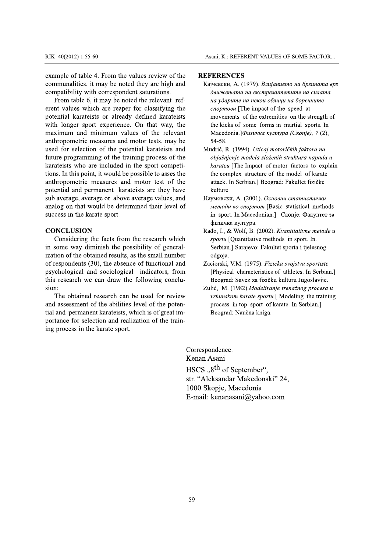RIK 40(2012) 1:55-60<br>
example of table 4. From the values review of the<br>
example of table 4. From the values review of the<br> **REFERENCES**<br>
communalities, it may be noted they are high and<br>
Kajuenck, A. (1979). *Ba*<br>
compati

RIK 40(2012) 1:55-60<br>example of table 4. From the<br>communalities, it may be r<br>compatibility with correspondent property<br>From table 6, it may be<br>erent values which are real<br>potential karateists or alree<br>with longer sport exp RIK 40(2012) 1:55-60<br>
example of table 4. From the values is<br>
communalities, it may be noted they<br>
compatibility with correspondent satu<br>
From table 6, it may be noted the<br>
erent values which are reaper for cl<br>
potential k RIK 40(2012) 1:55-60<br>example of table 4. From the values re<br>communalities, it may be noted they a<br>compatibility with correspondent satur<br>From table 6, it may be noted the re<br>erent values which are reaper for cla<br>potential RIK 40(2012) 1:55-60<br>example of table 4. From the values review of the<br>communalities, it may be noted they are high and<br>compatibility with correspondent saturations.<br>From table 6, it may be noted the relevant ref-<br>erent va 2012) 1:55-60<br>
Asani, K.: REFERE<br>
e of table 4. From the values review of the<br>
nalities, it may be noted they are high and<br>
Kajuencku, A. (197<br>
ibility with correspondent saturations.<br>
he nalles 6, it may be noted the rel RIK 40(2012) 1:55-60<br>example of table 4. From the valu<br>communalities, it may be noted t<br>compatibility with correspondent<br>From table 6, it may be noted<br>erent values which are reaper fo<br>potential karateists or already d<br>with RIK  $40(2012) 1:55-60$ <br>example of table 4. From the values review of<br>communalities, it may be noted they are hig<br>compatibility with correspondent saturations.<br>From table 6, it may be noted the relevant<br>erent values which RIK 40(2012) 1:55-60<br>
example of table 4. From the values review of t<br>
communalities, it may be noted they are high a:<br>
compatibility with correspondent saturations.<br>
From table 6, it may be noted the relevant re<br>
erent va RIK 40(2012) 1:55-60<br> **EXECUTE:**<br>
EXAMPLE COMMUNIST: CALC TO THE COMMUNIST: THE COMMUNIST: THE COMMUNIST: A SURVEY COMMUNIST: COMMUNIST: CONTRACT CONTRACT:<br>
From table 6, it may be noted the relevant referent values which Asani, K.: REFEL<br>
ble 4. From the values review of the<br>
s, it may be noted they are high and<br>
s, it may be noted they are high and<br>
c, it may be noted the relevant ref-<br>
which are reaper for classifying the<br>
which are reap Asani, K.: REFERE<br>
Sani, K.: REFERE<br>
Dum the values review of the<br>
Dum the values review of the<br>
Dum the noted they are high and<br>  $V$  be noted the relevant ref-<br>  $V$  reaper for classifying the<br>  $V$  reaper for classifying RIK 40(2012) 1:55-60<br>example of table 4. From the v<br>communalities, it may be note<br>compatibility with correspond<br>From table 6, it may be not<br>erent values which are reaper<br>potential karateists or already<br>with longer sport ex RIK  $40(2012) 1:55-60$ <br>example of table 4. From the val<br>communalities, it may be noted<br>compatibility with correspondent<br>From table 6, it may be noted<br>erent values which are reaper f<br>potential karateists or already<br>with lo RIK 40(2012) 1:55-60<br>
As<br>
example of table 4. From the values review of the<br>
communalities, it may be noted they are high and<br>
compatibility with correspondent saturations.<br>
From table 6, it may be noted the relevant ref-<br> 2) 1:55-60<br>
Asani, 2) 1:55-60<br>
Asani, 2) 1:55-60<br>
Asani, 2) 1:55-60<br>
Asani, 2) and a consider the set of the **REFER**<br>
ties, it may be noted they are high and KajueButy<br>
ble 6, it may be noted the relevant ref-<br>
as which a Fig. 5-60<br>
18.5-60<br>
18.5-60<br>
18.5-60<br>
18.5-60<br>
18.5-60<br>
18.5-60<br>
18.5-60<br>
18.5-60<br>
18.5-60<br>
18.5-60<br>
18.5-60<br>
18.5-80<br>
18.5-80<br>
18.5-80<br>
18.5-80<br>
18.5-80<br>
18.5-80<br>
18.5-80<br>
18.5-80<br>
18.5-80<br>
18.5-80<br>
18.5-80<br>
18.5-80<br>
19. RIK 40(2012) 1:55-60<br>example of table 4. From the value<br>communalities, it may be noted the<br>compatibility with correspondent s<br>From table 6, it may be noted tl<br>erent values which are reaper for<br>potential karateists or alrea RIK 40(2012) 1:55-60<br>example of table 4. From the values<br>communalities, it may be noted the<br>compatibility with correspondent sa<br>From table 6, it may be noted the<br>erent values which are reaper for o<br>potential karateists or RIK  $40(2012) 1:55-60$ <br>example of table 4. From the values review of<br>communalities, it may be noted they are high<br>compatibility with correspondent saturations.<br>From table 6, it may be noted the relevant<br>erent values which RIK 40(2012) 1:55-60<br>example of table 4. From the values review of th<br>communalities, it may be noted they are high an<br>compatibility with correspondent saturations.<br>From table 6, it may be noted the relevant ref<br>erent value EXERIM A0(2012) 1:55-60<br>
Asani, K.: F<br>
EXERIM Asami, K.: F<br>
EXERIM Asami, K.: F<br>
EXERIM Asami, K.: F<br>
Communalities, it may be noted they are high and<br>
From table 6, it may be noted the relevant ref-<br>
From table 6, it may Asani, K.: REFEREI<br>
Asani, K.: REFEREI<br>
Asani, K.: REFEREI<br>
Asani, K.: REFEREI<br>
Asani, K.: REFEREI<br>
Asani, K.: REFEREI<br>
Asani, K.: REFEREI<br>
REFEREI<br>
NET ASSEMING METALLED MANUS CONTAINS AT A LIPTON THE is or already defin RIK 40(2012) 1:55-60<br>
example of table 4. From the va<br>
communalities, it may be noted<br>
compatibility with corresponder<br>
From table 6, it may be noted<br>
erent values which are reaper 1<br>
potential karateists or already<br>
with RIK  $40(2012) 1:55-60$ <br>example of table 4. From the values review communalities, it may be noted they are high compatibility with correspondent saturations.<br>From table 6, it may be noted the relevant erent values which ar RIK  $40(2012) 1:55-60$ <br>example of table 4. From the values review of the<br>communalities, it may be noted they are high and<br>compatibility with correspondent saturations.<br>From table 6, it may be noted the relevant ref-<br>erent  $\times$  40(2012) 1:55-60<br>
Asani<br>
ample of table 4. From the values review of the<br>
mmunalities, it may be noted they are high and<br>
From table 6, it may be noted the relevant ref-<br>
and the relevant ref-<br>
and values which are r **EXECUTE:**<br>
S.5-60<br>
Asani, K.: REFERE<br>
ble 4. From the values review of the<br>
s, it may be noted they are high and<br>  $\theta$  Kajuescku, A. (197<br>
with correspondent saturations.<br>  $\theta$  C, it may be noted the relevant ref-<br>
whic RIK 40(2012) 1:55-60<br>
example of table 4. From the va<br>
communalities, it may be noted<br>
compatibility with corresponder<br>
From table 6, it may be note<br>
erent values which are reaper<br>
potential karateists or already<br>
with lon RIK  $40(2012) 1:55-60$ <br>example of table 4. From the values<br>communalities, it may be noted the<br>compatibility with correspondent sa<br>From table 6, it may be noted the<br>erent values which are reaper for o<br>potential karateists RIK 40(2012) 1:55-60<br>example of table 4. From the values r<br>communalities, it may be noted they<br>compatibility with correspondent satu<br>From table 6, it may be noted the 1<br>erent values which are reaper for cla<br>potential karat RIK  $40(2012) 1:55-60$ <br>
<br>
<br>
example of table 4. From the values review of the communalities, it may be noted they are high are compatibility with correspondent saturations.<br>
From table 6, it may be noted the relevant reve RIK 40(2012) 1:55-60<br>example of table 4. From the values review of the<br>communalities, it may be noted they are high and<br>compatibility with correspondent saturations.<br>From table 6, it may be noted the relevant ref-<br>erent va  $40(2012) 1:55-60$ <br>
Asani, K.: F<br>
mple of table 4. From the values review of the<br>
munalities, it may be noted they are high and<br>
Kajuescku,<br>
patibility with correspondent saturations.<br>
From table 6, it may be noted the re Asani, K.: RE<br>
- From the values review of the<br>
may be noted they are high and<br>
correspondent saturations.<br>
have noted the relevant ref-<br>
have reaper for classifying the<br>
sor already defined karateists<br>
movement<br>
experien Asani, K.: REFERENCES<br>
From the values review of the<br> **REFERENCES**<br>
ay be noted they are high and<br>  $\begin{array}{ccc}\n & \text{R2} \text{K3} & \text{K4} \text{N4} & \text{K5} \text{N4} & \text{K6} \text{N4} & \text{K7} \text{N4} & \text{K8} \text{N4} & \text{K9} \text{N4} & \text{K9} \text{N4} & \text{K0} \text$ example of table 4. From the values review of the<br>
communalities, it may be noted they are high and<br>
compatibility with correspondent saturations.<br>
From table 6, it may be noted the relevant ref-<br>
erent values which are re REFERENC<br>
le 4. From the values review of the<br>
it may be noted they are high and<br>
6, it may be noted the relevant ref-<br>
6, it may be noted the relevant ref-<br>
hich are reaper for classifying the<br>
eists or already defined ka From the values review of the<br>
REFERENCES<br>
REFERENCES<br>
REFERENCES<br>
May be noted they are high and<br>
May kajuescku, A. (197<br>
orrespondent saturations.<br>
The may be noted the relevant ref-<br>
or already defined karateists<br>
or a example of table 4. From t<br>communalities, it may be i<br>compatibility with correspo<br>From table 6, it may be<br>erent values which are rea<br>potential karateists or alrea<br>with longer sport experie<br>maximum and minimum<br>anthropometri example of table 4. From the values<br>communalities, it may be noted the<br>compatibility with correspondent sat<br>From table 6, it may be noted the<br>erent values which are reaper for c<br>potential karateists or already defi<br>with lo example of table 4. From the values review of the<br>communalities, it may be noted they are high and<br>compatibility with correspondent saturations.<br>From table 6, it may be noted the relevant ref-<br>erent values which are reaper nple of table 4. From the values review of the<br>
munalities, it may be noted they are high and<br>
KajueBeckH, A. (1<br>
patibility with correspondent saturations.<br>
from table 6, it may be noted the relevant ref-<br>
traviuses which m the values review of the<br>
be noted they are high and<br>  $\mu$  Kajuescku, A. (197<br>
espondent saturations.<br>
be noted the relevant ref-<br>
reaper for classifying the<br>
already defined karateists<br>
movements of the relevant<br>
reinc example of table 4. From<br>communalities, it may be<br>compatibility with corres<br>From table 6, it may l<br>erent values which are 1<br>potential karateists or a<br>with longer sport exper<br>maximum and minimur<br>anthropometric measures<br>used example of table 4. From the values review<br>communalities, it may be noted they are hig<br>compatibility with correspondent saturation.<br>From table 6, it may be noted the relevan<br>erent values which are reaper for classifyi<br>pote example of table 4. From the values review of the<br>communalities, it may be noted they are high and<br>compatibility with correspondent saturations.<br>From table 6, it may be noted the relevant ref-<br>erent values which are reaper ample of table 4. From the values review of the<br>
mmunalities, it may be noted they are high and<br>
From table 6, it may be noted the relevant ref-<br>
entry values which are reaper for classifying the<br>
tential karateists or al From the values review of the<br>
MEFERENCES<br>
y be noted they are high and<br>
KajueBcKM, A. (19<br>
nor already defined karateists<br>
por already defined karateists<br>
movements of<br>
por already defined karateists<br>
movements of<br>
por a The values review of the **REFERENCES**<br>
e noted they are high and KajueBcku, A. (197<br>
spondent saturations. *OBUNCEB*<br>
denoted the relevant ref-<br>
reaper for classifying the<br>
liveady defined karateists movements of the<br>
liv communalities, it may be noted they are high and<br>compatibility with correspondent saturations.<br>From table 6, it may be noted the relevant ref-<br>erent values which are reaper for classifying the<br>potential karateists or alrea Ities, it may be noted they are high and<br>
lity with correspondent saturations. Solutively with correspondent saturations. Solution<br>
also be the relevant ref-<br>
nes which are reaper for classifying the<br>
carrelation of the re Solution and the set of the set of the set of the set of the set of the set of the set of the set of the set of the set of the set of the set of the set of the set of the pole of the pole of the pole of the pole of the po It may be noted they are high and<br>
it may be noted they are high and<br>
it correspondent saturations.<br>
it in correspondent saturations.<br>
it is or already defined karateists<br>
or already defined karateists<br>
or experience. On be noted they are high and<br>  $V$  be noted the relevant ref-<br>  $v$  be noted the relevant ref-<br>  $v$  reaper for classifying the<br>
already defined karateists<br>
erience. On that way, the<br>
the kicks of som<br>
num values of the releva compatibility with correspondent sate<br>From table 6, it may be noted the<br>erent values which are reaper for c<br>potential karateists or already defir<br>with longer sport experience. On t<br>maximum and minimum values of<br>anthropomet compatibility with correspondent saturations.<br>From table 6, it may be noted the relevant referent values which are reaper for classifying the potential karateists or already defined karateists with longer sport experience. atibility with correspondent saturations.  $\theta$ anscertisama na<br>
om table 6, it may be noted the relevant ref-<br>
trial karateists or already defined karateists<br>
movements of t<br>
longer sport experience. On that way, the<br>
the From table 6, it may be<br>erent values which are re<br>potential karateists or all<br>with longer sport experie<br>maximum and minimum<br>anthropometric measures<br>used for selection of the<br>future programming of the<br>karateists who are inc From table 6, it may be i<br>erent values which are reap<br>potential karateists or alrea<br>with longer sport experien<br>maximum and minimum v<br>anthropometric measures ar<br>used for selection of the p<br>future programming of the i<br>karate From table 6, it may be noted the relevant values which are reaper for class potential karateists or already defined with longer sport experience. On that maximum and minimum values of the anthropometric measures and motor From table 6, it may be noted the relevant ret-<br>erent values which are reaper for classifying the<br>potential karacteists or already defined karacteists who longer sport experience. On that way, the<br>maximum and minimum valu erent values which are reaper for classitying the<br>potential karateists or already defined karateists<br>with longer sport experience. On that way, the<br>maximum and minimum values of the relevant<br>anthropometric measures and mot It values which are reaper for classifying the<br>
initial karateists or already defined karateists<br>
in longer sport experience. On that way, the<br>
imum and minimum values of the relevant<br>
if the relevant<br>
in the momentric me Fractists or already defined karateists<br>sport experience. On that way, the the kick<br>movement sport experience. On that way, the the kick<br>md minimum values of the relevant Macedo<br>tric measures and motor tests, may be 54-58 The area per to classifying the<br>
intervals or already defined karateists<br>
movements of t<br>
experience. On that way, the<br>
the kicks of som<br>
inimum values of the relevant<br>
accedonia.] $\Phi u$ <br>
casures and motor tests, may be<br> potential karateists or a<br>with longer sport exper<br>maximum and minimur<br>anthropometric measures<br>used for selection of the<br>future programming of t<br>karateists who are includ<br>tions. In this point, it wou<br>anthropometric measure<br> potential karateists or already defined kar<br>with longer sport experience. On that wa<br>maximum and minimum values of the re<br>anthropometric measures and motor tests, n<br>used for selection of the potential karateis<br>future progr potential karateists or already defined karateists<br>with longer sport experience. On that way, the<br>maximum and minimum values of the relevant<br>anthropometric measures and motor tests, may be<br>used for selection of the potenti ential karateists or already defined karateists<br>
movements of the honger sport experience. On that way, the<br>
the kicks of son<br>
stimum and minimum values of the relevant<br>
Macedonia.] $\Phi u$ :<br>
Mropometric measures and motor t with longer sport experience.<br>
maximum and minimum value<br>
anthropometric measures and n<br>
used for selection of the poter<br>
future programming of the train<br>
karateists who are included in<br>
tions. In this point, it would be p with longer sport experience. On<br>maximum and minimum values<br>anthropometric measures and mot<br>used for selection of the potentia<br>future programming of the training<br>karateists who are included in the<br>tions. In this point, it with longer sport experience. On that we<br>maximum and minimum values of the re<br>anthropometric measures and motor tests, n<br>used for selection of the potential karateis<br>future programming of the training process<br>karateists wh with longer sport experience. On that way, the<br>maximum and minimum values of the relevant<br>anthropometric measures and motor tests, may be<br>used for selection of the potential karateists and<br>future programming of the trainin 1 longer sport experience. On that way, the<br>timum and minimum values of the relevant<br>propometric measures and motor tests, may be<br>for selection of the potential karateists and<br>re programming of the training process of the<br> longer sport experience. On that way, the<br>
mum and minimum values of the relevant<br>
for selection of the potential karateists and<br>
Mudi<br>
programming of the training process of the<br>
ists who are included in the sport competi sport experience. On that way, the<br>
the kicks of s<br>
definition in the values of the relevant<br>
tic measures and motor tests, may be<br>
subsettion of the potential karateists and<br>
Mudrić, R. (199)<br>
muming of the training proc erience. On that way, the<br>
the kicks of son<br>
um values of the relevant<br>
es and motor tests, may be<br>
54-58.<br>
he potential karateists and<br>
Mudrić, R. (1994).<br>
the training process of the<br>
uded in the sport competi-<br>
karateu maximum and minimum<br>anthropometric measures a<br>used for selection of the p<br>future programming of the<br>karateists who are include<br>tions. In this point, it would<br>anthropometric measures<br>potential and permanent k<br>sub average, a maximum and minimum va<br>anthropometric measures and<br>used for selection of the po<br>future programming of the ti<br>karateists who are included<br>tions. In this point, it would b<br>anthropometric measures are<br>potential and permanent maximum and minimum values<br>anthropometric measures and mo<br>used for selection of the potent<br>future programming of the traini<br>karateists who are included in th<br>tions. In this point, it would be po<br>anthropometric measures and maximum and minimum values of<br>anthropometric measures and motor t<br>used for selection of the potential k<br>future programming of the training p<br>karateists who are included in the sp<br>tions. In this point, it would be possibl-<br> maximum and minimum values of the<br>anthropometric measures and motor tests,<br>used for selection of the potential karate<br>future programming of the training proce:<br>karateists who are included in the sport<br>tions. In this point, maximum and minimum values of the relevant<br>anthropometric measures and motor tests, may b<br>used for selection of the potential karateists an<br>future programming of the training process of th<br>karateists who are included in th maximum and minimum values of the relevant<br>unthropometric measures and motor tests, may be<br>used for selection of the potential karateists and<br>uture programming of the training process of the<br>carateists who are included in aximum and minimum values of the relevant<br>thropometric measures and motor tests, may be<br>eed for selection of the potential karateists and<br>ture programming of the training process of the<br>trateists who are included in the sp Im and minimum values of the relevant<br>
from the potential karateists and<br>
programming of the potential karateists and<br>
programming of the training process of the<br>
ts who are included in the sport competi-<br>
h this point, it and minimum values of the relevant<br>tric measures and motor tests, may be<br>section of the potential karateists and<br>mudric, Framming of the training process of the<br>spoint, it would be possible to asses the the contric<br>spoint, minimum values of the relevant<br>
measures and motor tests, may be<br>
54-58.<br>
In of the potential karateists and<br>
mudric, R. (199-<br>
ing of the training process of the<br>
re included in the sport competi-<br>
the complex<br>
measures a Macedonia.]  $\Phi u$ :<br>
es and motor tests, may be<br>
fa-58.<br>
the potential karateists and<br>
where, R. (1994).<br>
the training process of the<br>
uded in the sport competi-<br>
by a boying the complex stres<br>
the complex stres<br>
the compl anthropometric measures<br>used for selection of the<br>future programming of t<br>karateists who are include<br>tions. In this point, it wou<br>anthropometric measure<br>potential and permanent<br>sub average, average or a<br>analog on that woul anthropometric measures a<br>used for selection of the p<br>future programming of the<br>karateists who are included<br>tions. In this point, it would<br>anthropometric measures<br>potential and permanent k<br>sub average, average or abe<br>analo anthropometric measures and motor is<br>used for selection of the potential k<br>future programming of the training p<br>karateists who are included in the sp<br>tions. In this point, it would be possibl<br>anthropometric measures and mo anthropometric measures and motor tests, may<br>used for selection of the potential karateists is<br>future programming of the training process of<br>karateists who are included in the sport comp<br>tions. In this point, it would be p anthropometric measures and motor tests, may be<br>
used for selection of the potential karateists and<br>
flutter programming of the training process of the<br>
karateists who are included in the sport competi-<br>
karateist Fig. (1 used for selection of the potential kara<br>future programming of the training proc<br>karateists who are included in the sport<br>tions. In this point, it would be possible to<br>anthropometric measures and motor te<br>potential and per used for selection of the potential karate<br>future programming of the training proces<br>karateists who are included in the sport c<br>tions. In this point, it would be possible to a<br>anthropometric measures and motor test<br>potenti used for selection of the potential karateists and<br>future programming of the training process of the<br>karateists who are included in the sport competi-<br>tions. In this point, it would be possible to asses the<br>anthropometric That way, the the kicks of some forms<br>
in the relevant<br>
tests, may be 54-58.<br>
karateists and Mudrić, R. (1994). *Uticaj n*<br>
process of the *objašnjenje modela slože*<br>
port competi-<br>
karateu [The Impact of 1<br>
le to asses th

karateists who are included in the spor<br>tions. In this point, it would be possible t<br>anthropometric measures and motor t<br>potential and permanent karateists are<br>sub average, average or above average v<br>analog on that would b tions. In this point, it would be possible to assee<br>
anthropometric measures and motor test of<br>
potential and permanent karateists are they<br>
sub average, average or above average values<br>
analog on that would be determined tions. In this point, it would be possible to asses the<br>
anthropometric measures and motor test of the<br>
sub average, average or above average values, and<br>
sub average, average or above average values, and<br>
sub average, av The same same and motor test of the complex structure and motor test of the extractions are the stack. In Serbia<br>
ermanent karateists are they have the tatack. In Serbia<br>
erage or above average values, and Hayмoвски, A. (2 anthropometric measures and mot<br>potential and permanent karateists<br>sub average, average or above avera<br>analog on that would be determined<br>success in the karate sport.<br>**CONCLUSION** Considering the facts from the 1<br>in some w anthropometric measures and motor test of the<br>potential and permanent karateists are they have<br>sub average, average or above average values, and<br>analog on that would be determined their level of<br>success in the karate sport metric measures and motor test of the attack. In Serb<br>
and permanent karateists are they have<br>
lege, average or above average values, and<br>
lege, average or above average values, and<br>
lege, average or above average values, es and motor test of the<br>
t karateists are they have<br>
above average values, and<br>
e determined their level of<br>
ort.<br>
the end of *Memoou 60 cnop*<br>
ort.<br>
in sport. In Mac<br>
that of *Memoou 60 cnop*<br>
passure of this in sport. potential and permanent l<br>sub average, average or ab<br>analog on that would be d<br>success in the karate sport.<br>**CONCLUSION**<br>Considering the facts f<br>in some way diminish the<br>ization of the obtained resu<br>of respondents (30), th potential and permanent karateists are<br>sub average, average or above average v<br>analog on that would be determined the<br>success in the karate sport.<br>**CONCLUSION**<br>Considering the facts from the resee<br>in some way diminish the potential and permanent karateists are the sub average, average or above average va analog on that would be determined their success in the karate sport.<br> **CONCLUSION** Considering the facts from the research in some way di potential and permanent karateists are they have<br>sub average, average or above average values, and<br>analog on that would be determined their level of<br>success in the karate sport.<br>**CONCLUSION** Considering the facts from the al and permanent karateists are they have<br>
buturum be a different of the state sport.<br>
CLUSION<br>
CLUSION Rado, I.,<br>
CLUSION Rado, I.,<br>
CLUSION Rado, I.,<br>
CLUSION Rado, I.,<br>
clubsidering the facts from the research which *sp* Examplement Karateists are they have<br>
strange or above average values, and Haymoscku, A. (<br>
would be determined their level of *Memodu 60 cm*<br>
arate sport.<br>
In M<br>
pusuruka kynt<br>
Rado, I., & Wolf<br>
the facts from the researc Material and their level of the posterior of the train-<br>
above average values, and Hayмoвски, A. (20<br>
e determined their level of *Memodu во спор*<br>
ort. In Mac<br>
the possibility of general-<br>
the possibility of general-<br>
se sub average, average or above average values, and<br>analog on that would be determined their level of<br>success in the karate sport.<br>CONCLUSION<br>Considering the facts from the research whicl<br>in some way diminish the possibility ub average, average or above average values, and<br>malog on that would be determined their level of<br>uccess in the karate sport.<br>**CONCLUSION** Considering the facts from the research which<br>n some way diminish the possibility o b average, average or above average values, and<br>
alog on that would be determined their level of<br>
ccess in the karate sport.<br> **ONCLUSION**<br> **ONCLUSION**<br> **ONCHUSION**<br> **ONCHUSION**<br> **ONCHUSION**<br> **ONCHUSION**<br> **ONCHUSION**<br> **ON** or above average values, and<br>
HayMoBCKH, A. (<br>
d be determined their level of<br>
sport.<br>
in sport. In M<br>
physicals from the research which<br>
she possibility of general-<br>
serbian.] Sara<br>
d results, as the small number<br>
determ Calculated their level of<br>
Late determined their level of<br>
in sport. In Machine and their level of<br>
in sport. In Machine and the possibility of general-<br>
the possibility of general-<br>
ealsence of functional and Zaciorski, analog on that would be determined<br>success in the karate sport.<br>CONCLUSION<br>Considering the facts from the re<br>in some way diminish the possibilit<br>ization of the obtained results, as the<br>of respondents (30), the absence of f analog on that would be determined the<br>success in the karate sport.<br>CONCLUSION<br>Considering the facts from the resear<br>in some way diminish the possibility of<br>ization of the obtained results, as the sm<br>of respondents (30), t analog on that would be determined their level of<br>success in the karate sport.<br>CONCLUSION<br>Considering the facts from the research which<br>in some way diminish the possibility of general-<br>ization of the obtained results, as t g on that would be determined their level of<br>sin the karate sport.<br>CLUSION<br>Rado, I.<br>School and section the research which<br>ne way diminish the possibility of general-<br>of the obtained results, as the small number<br>opported an success in the karate sport.<br> **CONCLUSION**<br>
Considering the facts from th<br>
in some way diminish the possil<br>
ization of the obtained results, as<br>
of respondents (30), the absence<br>
psychological and sociological<br>
this resear success in the karate sport.<br> **CONCLUSION**<br>
Considering the facts from the research<br>
in some way diminish the possibility of g<br>
ization of the obtained results, as the small n<br>
of respondents (30), the absence of function<br> success in the karate sport.<br> **CONCLUSION**<br>
Considering the facts from the research whic<br>
in some way diminish the possibility of genera<br>
ization of the obtained results, as the small numbe<br>
of respondents (30), the absenc success in the karate sport.<br>
CONCLUSION<br>
CONCLUSION<br>
Considering the facts from the research which<br>
m some way diminish the possibility of general-<br>
zerbian.] Sarajev<br>
zation of the obtained results, as the small number<br> **CONCLUSION**<br>Considering the facts from<br>in some way diminish the p<br>ization of the obtained results<br>of respondents (30), the abse<br>psychological and sociologi<br>this research we can draw t<br>sion:<br>The obtained research ca<br>and as **CONCLUSION**<br>Considering the facts from the<br>in some way diminish the possib<br>ization of the obtained results, as t<br>of respondents (30), the absence c<br>psychological and sociological<br>this research we can draw the fo<br>sion:<br>The **CONCLUSION**<br>Considering the facts from the r<br>in some way diminish the possibili<br>ization of the obtained results, as the<br>of respondents (30), the absence of<br>psychological and sociological in<br>this research we can draw the f **CONCLUSION**<br>Considering the facts from the research w<br>in some way diminish the possibility of gene<br>ization of the obtained results, as the small nun<br>of respondents (30), the absence of functional<br>psychological and sociolo **CONCLUSION**<br>Considering the facts from the research which<br>in some way diminish the possibility of general-<br>ization of the obtained results, as the small number<br>of respondents (30), the absence of functional and<br>psychologi NCLUSION<br>
Considering the facts from the research which<br>
ome way diminish the possibility of general-<br>
ion of the obtained results, as the small number<br>
espondents (30), the absence of functional and<br>
chological and sociol EUSION<br>
Rado, I., & Wolf,<br>
sidering the facts from the research which<br>
e way diminish the possibility of general-<br>
of the obtained results, as the small number<br>
odgoja.<br>
andents (30), the absence of functional and<br>
Zaciors Considering the facts<br>in some way diminish ti<br>ization of the obtained re<br>of respondents (30), the<br>psychological and socio<br>this research we can dra<br>sion:<br>The obtained researcl<br>and assessment of the at<br>tial and permanent kar Considering the facts from<br>in some way diminish the p<br>ization of the obtained results<br>of respondents (30), the abse-<br>psychological and sociologic<br>this research we can draw tl<br>sion:<br>The obtained research can<br>and assessment Considering the facts from the research whi<br>in some way diminish the possibility of gener<br>ization of the obtained results, as the small numb<br>of respondents (30), the absence of functional a<br>psychological and sociological i Considering the facts from the research which<br>in some way diminish the possibility of genera<br>ization of the obtained results, as the small numbor<br>of respondents (30), the absence of functional an<br>psychological and sociolog Considering the facts from the research which<br>
in some way diminish the possibility of general-<br>
zation of the obtained results, as the small number<br>
of respondents (30), the absence of functional and<br>
zationski, V.M. (19 in some way diminish the<br>ization of the obtained rest<br>of respondents (30), the al<br>psychological and sociole<br>this research we can draw<br>sion:<br>The obtained research<br>and assessment of the abi<br>tial and permanent karatei<br>portanc in some way diminish the p<br>ization of the obtained result:<br>of respondents (30), the abse<br>psychological and sociologi<br>this research we can draw i<br>sion:<br>The obtained research ca<br>and assessment of the abiliti<br>tial and permane in some way diminish the possibility<br>ization of the obtained results, as the si<br>of respondents (30), the absence of fur<br>psychological and sociological indic<br>this research we can draw the follow<br>sion:<br>The obtained research In some way diminish the possibility of ger<br>ization of the obtained results, as the small nu<br>of respondents (30), the absence of functiona<br>psychological and sociological indicators,<br>this research we can draw the following in some way diminish the possibility of gener<br>ization of the obtained results, as the small num<br>of respondents (30), the absence of functional a<br>psychological and sociological indicators, fre<br>this research we can draw the in some way diminish the possibility of general-<br>
ization of the obtained results, as the small number<br>
of respondents (30), the absence of functional and<br>
psychological and sociological indicators, from [Physical chis re Shiman J Sarajev<br>
Shiman J Sarajev<br>
d results, as the small number<br>
the absence of functional and<br>
d zaciorski, V.M. (19<br>
ociological indicators, from [Physical charact<br>
draw the following conclu-<br>
Land and the second: Sav Sible to asses the the complex structure contracts of the attack. In Serbian.] Beo<br>
ts are they have kulture.<br>
Trage values, and Hayмoвски, A. (2001). Oced their level of *Memodu 60 cnopmom* [H in sport. In Macedonia φизи ed their level of<br>
in sport. In Macedonia<br>
the priorition of the properties are the transport of the space of<br>
the small number<br>
in Serbian.] Sarajevo: Fak<br>
he small number<br>
of functional and<br>  $\frac{1}{2}$  Zaciorski, V.M. (19

ization of the obtained results<br>of respondents (30), the abse<br>psychological and sociologi<br>this research we can draw t<br>sion:<br>The obtained research ca<br>and assessment of the abiliti<br>tial and permanent karateists<br>portance for ization of the obtained results, as the small num<br>of respondents (30), the absence of functional a<br>psychological and sociological indicators, fre<br>this research we can draw the following conc<br>sion:<br>The obtained research can ization of the obtained results, as the small number<br>of respondents (30), the absence of functional and<br>psychological and sociological indicators, from<br>this research we can draw the following conclu-<br>sion:<br>The obtained res It is obtained results, as the small number<br>spondents (30), the absence of functional and<br>alological and sociological indicators, from<br>research we can draw the following conclu-<br>are obtained research can be used for review is the obtained results, as the small number<br>
idents (30), the absence of functional and<br>
gical and sociological indicators, from [Physical charch we can draw the following conclu-<br>
arch we can draw the following conclu-<br> results, as the small number<br>
e absence of functional and<br>
e absence of functional and<br>
divergence absence of functional and<br>
divergence absence the poten-<br>
zulić, M. (1982).<br>
zulić, M. (1982).<br>
zulić, M. (1982).<br>
zulić, M of respondents (30), the absence of function<br>psychological and sociological indicators,<br>this research we can draw the following co<br>sion:<br>The obtained research can be used for r<br>and assessment of the abilities level of the of respondents (30), the absence of functional<br>psychological and sociological indicators, f<br>this research we can draw the following con<br>sion:<br>The obtained research can be used for rev<br>and assessment of the abilities level of respondents (30), the absence of functional and<br>psychological and sociological indicators, from<br>this research we can draw the following conclu-<br>sion:<br>The obtained research can be used for review<br>and assessment of the ab

- Asani, K.: REFERENT VALUES OF SOME FA<br>
values review of the<br> **REFERENCES**<br>
ed they are high and<br>
Kajuescku, A. (1979). *Baujanuemo на брзш*<br>
ent saturations.<br> *Asure band Rajuescku, A. (1979). Baujanuemo на брзш*<br>
ent sat Asani, K.: REFERENT VALUES OF SOME FACTOR...<br>
es review of the<br> **REFERENCES**<br>
et and Kajuescku, A. (1979). *B.nujanuemo na брзината врз*<br>
aturations.<br> *ABCODE ARCODE ARCODE ACCODE ACCODE ARCODE CONSITING*<br> *CODER CODER CO* Asani, K.: REFERENT VALUES OF SOME FACTOR...<br>
review of the<br> **REFERENCES**<br>
are high and<br>
Kajuescku, A. (1979). *Baujanuemo на брзината врз*<br>
urations.<br> *Auxionehoma на екстремите на силата*<br>
relevant ref-<br> *Hayoqume на не* Asani, K.: REFERENT VALUES OF SOME FACTOR...<br>
review of the<br> **REFERENCES**<br>
are high and<br>
Kajuesckin, A. (1979). *Baujanuemo на брзината врз*<br>
are high and<br> *e duarcentama на експремитетите на силата*<br>
relevant ref-<br> *ua y* Asani, K.: REFERENT VALUES OF SOME FACT<br>
review of the<br> **REFERENCES**<br>
review of the<br> **REFERENCES**<br>
reading the<br>
vary of the and the example and the examplement and the causar<br>
relevant ref-<br>
lassifying the<br> *chappare na ne* Asani, K.: REFERENT VALUES OF SOME FACTOR...<br> **REFERENCES**<br>
KajueBckH, A. (1979). *Brujanuemo na брзината врз*<br> *движењата на екстремитетите на силата*<br> *на ударите на некои облици на боречките*<br> *cnopmosu* [The impact of NENT VALUES OF SOME FACTOR...<br>
1979). *Brujahuemo na брзината врз*<br> *на екстремитетите на силата*<br> *на некои облици на боречките*<br>
he impact of the speed at<br>
f the extremities on the strength of<br>
ome forms in martial sport Asani, K.: REFERENCES<br>
Treview of the<br> **REFERENCES**<br>
Treview of the<br> **REFERENCES**<br>
Treview of the<br>
REFERENCES<br>
KajueBock, A. (1979). *B.nyjanuemo на брзината врз*<br>
arations.<br> *A a ydgnume на некои облици на боречките*<br>
In review of the **REFERENCES**<br>
are high and KajueBCKH, A. (1979). *Baujanuemo na брзината врз*<br>
urations. *bauscehama na ekconomosume na cuama*<br>
relevant ref-<br>
lassifying the *cnopmosu* [The impact of the speed at<br>
med karate NCES<br>
1, A. (1979). *Brujanuemo na брзината врз*<br>
1, A. (1979). *Brujanuemo na брзината врз*<br>
1, A. (1979). *Brujanumemume na curama*<br>
2, *Dame H* and *Here in the speed at*<br>
ents of the extremities on the strength of<br>
1 ES<br>
... (1979). *Baujanuemo na брзината врз*<br> *na на екстремитетите на силата*<br> *e на некои облици на боречките*<br>
[The impact of the speed at<br>
s of the extremities on the strength of<br>
f some forms in martial sports. In<br>
.. review of the **REFERENCES**<br>
x are high and KajueBCKM, A. (1979). *Brujan*<br>
urations. *OBUERENCES*<br>
z are high and KajueBCKM, A. (1979). *Brujan*<br>
relevant ref-<br> *Ha ydapume na nekou oforu*<br>
lassifying the *cnopmosu* [The i View of the **REFERENCES**<br>
e high and KajueBecku, A. (1979). *Brujanuemo Hi*ons.<br>
devant ref-<br>
levant ref-<br> *Ha ydapume Ha Hekou of July Ha 6*<br>
comprocul [The impact of the speed karateists<br>
movements of the extremities on<br> The **REFERENCES**<br>
And Kajчeвски, A. (1979). *Влијанието на брзината врз*<br>  $\theta$ *и ударите на некои облици на боречките*<br>
the *спортови* [The impact of the speed at<br>
sits movements of the extremities on the strength of<br>
the Fraction and Kajuencky, A. (1979). *Baujanuen*<br>
urations. Souscebama ha excmpendment<br>
relevant ref-<br>
ha ydapume ha hexou of anyular<br>
lassifying the<br>
end karateists<br>
that way, the<br>
the relevant<br>
tests, may be<br>
free the kic Subsection and excription and example and example and example and example the relevant ref-<br>
classifying the comproment [The impact of the speed at<br>
fined karateists movements of the extremities on the strength of<br>
or the relevant ref-<br> *ma yoapume na nekou ofonuqu na fopeukume*<br>
lassifying the<br> *conpmosu* [The impact of the speed at<br>
red karateists<br>
movements of the extremities on the strength of<br>
that way, the<br>
the kicks of some forms in Asani, K.: REFERENT VALUES OF SOME FACTOR...<br>
iew of the **REFERENCES**<br>
e high and Kajчевски, A. (1979). *Влијанието на брзината врз*<br>
ions. *движењата на екстремитетите на силата*<br>
evant ref-<br> *на ударите на некои облици* 
	- alassifying the *chopmosu* [The impact of the speed at<br>
	red karateists movements of the extremities on the stret<br>
	that way, the the kicks of some forms in martial sport<br>
	in the relevant<br>
	Macedonia.]  $\Phi_{U}$  and  $\Phi_{V}$  (Ck *cnopmosu* [The impact of the speed at<br>movements of the extremities on the strength of<br>the kicks of some forms in martial sports. In<br>Macedonia.] $\Phi$ *usuvka kynnypa (Ckonje)*, 7 (2),<br>54-58.<br>Mudrić, R. (1994). *Uticaj motor u* [The impact of the speed at<br>
	nts of the extremities on the strength of<br>
	iof some forms in martial sports. In<br>
	iia.] $\Phi$ *usuwka kyamypa (Ckonje)*, 7 (2),<br>
	(1994). *Uticaj motoričkih faktora na*<br>
	nje modela složenih stru of the speed at<br>emities on the strength of<br>ns in martial sports. In<br>ynmypa (Ckonje), 7 (2),<br>motoričkih faktora na<br>ženih struktura napada u<br>f motor factors to explain<br>of the model of karate<br>grad: Fakultet fizičke<br>*choshu cm* ned karateists<br>
	movements of the extremities on the strength of<br>
	that way, the<br>
	the kicks of some forms in martial sports. In<br>
	the relevant<br>
	Macedonia.]*Φusuwa κyamypa (Cκonje)*, 7 (2),<br>
	tests, may be<br>
	54-58.<br>
	karateists e extremities on the strength of<br>
	e forms in martial sports. In<br>
	vuka kynmypa (Ckonje), 7 (2),<br>
	Jiticaj motoričkih faktora na<br>
	la složenih struktura napada u<br>
	act of motor factors to explain<br>
	tture of the model of karate<br> extremities on the strength of<br>forms in martial sports. In<br>*xa xynmypa (Ckonje)*, 7 (2),<br>*icaj motoričkih faktora na*<br>*složenih struktura napada u*<br>tt of motor factors to explain<br>ure of the model of karate<br>Beograd: Fakulte The relevant<br>
	the relevant<br>
	the relevant<br>
	the relevant<br>
	ests, may be<br>
	54-58.<br>
	arateists and<br>
	Mudrić, R. (1994). *Uticaj mot*<br>
	rocess of the *objašnjenje modela složeni*<br>
	ort competi-<br>
	karateu [The Impact of mc<br>
	te to asse France Way, the the kicks of some forms in martial servel and the relevant<br>
	state is the state of the state of the digitarity and Mudric R. (1994). Uticaj motorickih fakes of the digitarity and the competition of the stat the kicks of some forms in martial spectrum<br>
	Macedonia.]*Φusuчκα κγπηγρα (Cκonje)*<br>
	54-58.<br>
	Mudrić, R. (1994). *Uticaj motoričkih fakto*<br> *objašnjenje modela složenih struktura n*<br> *karateu* [The Impact of motor factors 1 the kicks of some forms in martial sports. In<br>Macedonia.] $\Phi$ *usuvka kynmypa (Ckonje)*, 7 (2),<br>54-58.<br>Mudrić, R. (1994). *Uticaj motoričkih faktora na*<br>*objašnjenje modela složenih struktura napada u<br>karateu* [The Impact e kicks of some forms in martial sports. In<br>acedonia.]*Физичка култура (Скопје), 7* (2),<br>I-58.<br>itič, R. (1994). *Uticaj motoričkih faktora na*<br>*ijašnjenje modela složenih struktura napada u*<br>*trateu* [The Impact of motor ks of some forms in martial sports. In<br>
	onia.] *Qusuvax kynnypa (Ckonje)*, 7 (2),<br>
	.. (1994). *Uticaj motoričkih faktora na*<br>
	enje modela složenih struktura napada u<br>
	t [The Impact of motor factors to explain<br>
	nplex struct Nacedonia.] *Qusuvuka kynmypa*<br>
	tests, may be<br>
	54-58.<br>
	karateists and<br>
	Mudrić, R. (1994). *Uticaj motoriči*<br>
	prort competi-<br> *bojašnjenje modela složenih str.*<br>
	prort competi-<br> *karateu* [The Impact of motor<br>
	le to asses t or tests, may be<br>
	all karateists and<br>
	all karateists and<br>  $\mu$  Mudrić, R. (1994). *Uticaj motoričkih faktora na*<br>
	g process of the<br> *bigašnjenje modela složenih struktura napada u*<br>
	sible to asses the<br>
	the complex structur Relationship and Mudric, R. (1994). *Uticaj motoričkih faktora na*<br>
	process of the *objašnjenje modela složenih struktura napada u*<br>
	port competi-<br>
	le to asses the the complex structure of the model of karate<br>
	pre test of drić, R. (1994). *Uticaj motoričkih faktora na*<br>bijašnjenje modela složenih struktura napada u<br>carateu [The Impact of motor factors to explain<br>he complex structure of the model of karate<br>ttack. In Serbian.] Beograd: Fakul . (1994). *Uticaj motoričkih faktora na*<br>
	enje modela složenih struktura napada u<br>
	[The Impact of motor factors to explain<br>
	plex structure of the model of karate<br>
	In Serbian.] Beograd: Fakultet fizičke<br>  $\mu$ , A. (2001). 4). *Uticaj motoričkih faktora na*<br>
	nodela složenih struktura napada u<br>
	Impact of motor factors to explain<br>
	structure of the model of karate<br>
	bian.] Beograd: Fakultet fizičke<br>
	(2001). *Ocnosnu cmamucmuvku*<br>
	nopmom [Basic s orocess of the *objašnjenje modela složenih struktura i*<br>port competi-<br>karateu [The Impact of motor factors<br>le to asses the the complex structure of the model of<br>attack. In Serbian.] Beograd: Fakultet f<br>are they have ku objašnjenje modela složenih struktura napada<br>
	karateu [The Impact of motor factors to expl<br>
	the complex structure of the model of karate<br>
	attack. In Serbian.] Beograd: Fakultet fizičke<br>
	kulture.<br>
	Hayмoвски, A. (2001). *Ос* objašnjenje modela složenih struktura napada u<br>karateu [The Impact of motor factors to explain<br>the complex structure of the model of karate<br>attack. In Serbian.] Beograd: Fakultet fizičke<br>kulture.<br>Iayмовски, A. (2001). *Ос* % port competi-<br>
	karateu [The Impact of motor factors to<br>
	le to asses the<br>
	the complex structure of the model of ka<br>
	attack. In Serbian.] Beograd: Fakultet fizič<br>
	ge values, and<br>
	Hayмовски, A. (2001). *Основни статисти*<br>
		-
		- The total sases the the complex structure of the model of karate<br>
		or test of the attack. In Serbian.] Beograd: Fakultet fizičke<br>
		are they have kulture.<br>
		ge values, and Hayмoвски, A. (2001). *Основни статистички*<br>
		their le Fractional and Fractional and The Fractional Caveta Caveta Caveta Caveta Cavette Cavette Cavette Cavette Cavette Cavette Cavette Cavette Cavette Cavette Cavette Cavette Cavette Cavette Cavette Cavette Cavette Cavette Cavet Herbauel attack. In Serbian.] Beograd: Fakultet fi:<br>
		New Kulture.<br>
		HayMoBckH, A. (2001). *Ochobhu cmamucn*<br>
		of *Memodu 60 cnopmom* [Basic statistical<br>
		in sport. In Macedonian.] Ckonje: Фан<br>
		физичка култура.<br>
		Rađo, I., & Wo attack. In Serbian.] Beograd: Fakultet fizičke<br>
		kulture.<br>
		Hayмoвски, A. (2001). *Основни статистички*<br> *методи во спортот* [Basic statistical methods<br>
		in sport. In Macedonian.] Скопје: Факултет за<br>
		физичка култура.<br>
		Rađo, are they have<br>
		ge values, and<br>
		their level of<br>
		their level of<br> *Memodu 60 cnopmom* [Basic<br>
		in sport. In Macedonian.]<br>
		physives exact which<br>
		y of general<br>
		sportu [Quantitative method<br>
		y of general<br>
		Serbian.] Sarajevo: Fakul The State of Maynon Chatture.<br>
		Alues, and Haymon A. (2001). *OchosHu*<br>
		The Ievel of *Memodu 60 cnopmom* [Basic s<br>
		in sport. In Macedonian.] Cr<br>
		physical chat (2002). *Kva*<br>
		ch which *sportu* [Quantitative methods<br>
		f genera ey have kulture.<br>
		ues, and Hayмoвски, A. (2001). *Основни стап*<br>
		level of *методи во спортот* [Basic statisti<br>
		in sport. In Macedonian.] Скопје:<br>
		ψизичка култура.<br>
		Rađo, I., & Wolf, B. (2002). *Kvantitati*<br>
		h which *sport* Neta France Realistics<br>
		Neta Haymond Basic statistics<br>
		of *Memodu 60 cnopmom* [Basic statistics<br>
		in sport. In Macedonian.] Ckonje: 4<br>
		physical Rado, I., & Wolf, B. (2002). *Kvantitativy*<br>
		ch *sportu* [Quantitative methods kulture.<br>
		Hayмoвски, A. (2001). *Основни статистички*<br>
		f *Memoou во спортот* [Basic statistical methom<br>
		in sport. In Macedonian.] Ckonje: Φakyπrer<br>
		φизичка култура.<br>
		Rađo, I., & Wolf, B. (2002). *Kvantitativne metoa<br>
		spor* kulture.<br>Haymond *Go chopmom* [Basic statistical methods<br>in sport. In Macedonian.] Ckonje: Факултет за<br>физичка култура.<br>Rađo, I., & Wolf, B. (2002). *Kvantitativne metode u*<br>*sportu* [Quantitative methods in sport. In.<br>Ser A. (2001). *Ocnosuu cmamucmuvku*<br> *o cnopmom* [Basic statistical methods<br>
		In Macedonian.] Ckonje: Факултет за<br>
		skyntypa.<br>
		Wolf, B. (2002). *Kvantitativne metode u*<br>
		uantitative methods in sport. In.<br>
		Sarajevo: Fakultet spo
			-
	- ge values, and Hayмoвски, A. (2001). *Основни*<br>
	their level of *методи во спортот* [Basic s<br>
	in sport. In Macedonian.] Cк<br>
	физичка култура.<br>
	Rado, I., & Wolf, B. (2002). *Kvan*<br>
	seearch which *sportu* [Quantitative method ues, and Hayмoвски, A. (2001). *Основни c*<br>
	level of *методи во спортот* [Basic st<br>
	in sport. In Macedonian.] Скс<br>
	физичка култура.<br>
	Rađo, I., & Wolf, B. (2002). Kvan<br>
	1 which *sportu* [Quantitative methods in<br>
	general-<br> their level of<br>
	in sport. In Macedonian.] Ckonje: Факултет за<br>
	физичка култура.<br>
	Rado, L., & Wolf, B. (2002). *Kvantitativne metode u*<br>
	sesarch which<br> *sportu* [Quantitative methods in sport. In.<br>
	ty of general-<br>
	Serbian.] in sport. In Macedonian.] Ckon<br>
	whispane Rado, I., & Wolf, B. (2002). *Kvant*<br>
	search which<br>
	sportu [Quantitative methods in<br>
	y of general-<br>
	Serbian.] Sarajevo: Fakultet spo<br>
	small number<br>
	odgoja.<br>
	unctional and<br>
	Zaciorski in sport. In Macedonian.] Ckonje: 4<br>
	parameta kyntypa.<br>
	Rađo, I., & Wolf, B. (2002). *Kvantitativn*<br>
	which *sportu* [Quantitative methods in sport<br>
	neral-<br>
	Serbian.] Sarajevo: Fakultet sporta i t<br>
	umber odgoja.<br>
	al and Zac in sport. In Macedonian.] Ckonje: Φa<br>
	φизичка култура.<br>
	Rađo, I., & Wolf, B. (2002). *Kvantitativne*<br>
	sportu [Quantitative methods in sport.<br>
	- Serbian.] Sarajevo: Fakultet sporta i tjel<br>
	odgoja.<br>
	Zaciorski, V.M. (1975). in sport. In Macedonian.] Ckonje: Факултет за<br>
	физичка култура.<br>
	Rađo, I., & Wolf, B. (2002). *Kvantitativne metode u*<br> *sportu* [Quantitative methods in sport. In.<br>
	Serbian.] Sarajevo: Fakultet sporta i tjelesnog<br>
	odgoja. oort. In Macedonian.] Ckonje: Факултет за<br>
	чка култура.<br>
	, & Wolf, B. (2002). *Kvantitativne metode u*<br> *u* [Quantitative methods in sport. In.<br>
	ian.] Sarajevo: Fakultet sporta i tjelesnog<br>
	ja.<br>
	ki, V.M. (1975). *Fizička s* nian.] Ckonje: Факултет за<br>
	2002). *Kvantitativne metode u*<br>
	methods in sport. In.<br>
	Fakultet sporta i tjelesnog<br>
	Fizička svojstva sportiste<br>
	stics of athletes. In Serbian.]<br>
	dizičku kulturu Jugoslavije.<br> *eliranje trenažno* ian.] Ckonje: Факултет за<br>02). *Kvantitativne metode u*<br>nethods in sport. In.<br>kultet sporta i tjelesnog<br>Fizička svojstva sportiste<br>ics of athletes. In Serbian.]<br>ičku kulturu Jugoslavije.<br>iranje trenažnog procesa u<br>rtu [ Mo физичка култура.<br>
	Rado, I., & Wolf, B. (2002). Kvar<br>
	spearch which<br>
	sportu [Quantitative methods is<br>
	small number<br>
	odgoja.<br>
	unctional and<br>
	Zaciorski, V.M. (1975). Fizička sv<br>
	licators, from<br>
	[Physical characteristics of a физичка култура.<br>
	Rado, I., & Wolf, B. (2002). *Kvantitati*<br>
	vhich *sportu* [Quantitative methods in sporter-<br>
	serbian.] Sarajevo: Fakultet sporta i<br>
	uumber odgoja.<br>
	nal and Zaciorski, V.M. (1975). *Fizička svojstv*<br>
	s, f физичка култура.<br>
	Rado, I., & Wolf, B. (2002). *Kvantitativne m*<br>
	ch *sportu* [Quantitative methods in sport. In.<br>
	al-<br>
	Serbian.] Sarajevo: Fakultet sporta i tjeless<br>
	odgoja.<br>
	Maddal Zaciorski, V.M. (1975). *Fizička svojs* физичка култура.<br>
	Rađo, I., & Wolf, B. (2002). *Kvantitativne metode u*<br> *sportu* [Quantitative methods in sport. In.<br>
	Serbian.] Sarajevo: Fakultet sporta i tjelesnog<br>
	odgoja.<br>
	Zaciorski, V.M. (1975). *Fizička svojstva sp* n. (2002). *Kvantitativne metode u*<br>ive methods in sport. In.<br>o: Fakultet sporta i tjelesnog<br>75). *Fizička svojstva sportiste*<br>teristics of athletes. In Serbian.]<br>a fizičku kulturu Jugoslavije.<br>*odeliranje trenažnog proces* Rado, I., & Wolf, B. (2002). *Kvantitativne metode u*<br>
	sportu [Quantitative methods in sport. In.<br>
	ility of general-<br>
	serbian.] Sarajevo: Fakultet sporta i tjelesnog<br>
	the small number<br>
	odgoja.<br>
	f functional and<br>
	Zaciorski, Search which *sportu* [Quantitative methods in sport. In.<br>
	y of general-<br>
	Serbian.] Sarajevo: Fakultet sporta i tjelesnog<br>
	small number<br>
	dgoja.<br>
	licators, from [Physical characteristics of athletes. In Serbian.]<br>
	wing conc e methods in sport. In.<br>Fakultet sporta i tjelesnog<br>). *Fizička svojstva sportiste*<br>istics of athletes. In Serbian.]<br>fizičku kulturu Jugoslavije.<br>*leliranje trenažnog procesa u*<br>*portu* [ Modeling the training<br>rt of karate v of general-<br>
	serbian.] Sarajevo: Fakultet sporta i tjelesnog<br>
	small number odgoja.<br>
	ductional and Zaciorski, V.M. (1975). *Fizička svojstva sportiste*<br>
	licators, from [Physical characteristics of athletes. In Serbian.]<br> rbian.] Sarajevo: Fakultet sporta i tjelesnog<br>lgoja.<br>orski, V.M. (1975). *Fizička svojstva sportiste*<br>hysical characteristics of athletes. In Serbian.]<br>eograd: Savez za fizičku kulturu Jugoslavije.<br>i, M. (1982).*Modeliranj* vian.] Sarajevo: Fakultet sporta i tjelesnog<br>pja.<br>kki, V.M. (1975). *Fizička svojstva sportiste*<br>ssical characteristics of athletes. In Serbian.]<br>grad: Savez za fizičku kulturu Jugoslavije.<br>M. (1982).*Modeliranje trenažnog* ievo: Fakultet sporta i tjelesnog<br>1975). *Fizička svojstva sportiste*<br>acteristics of athletes. In Serbian.]<br>z za fizičku kulturu Jugoslavije.<br>*Modeliranje trenažnog procesa u*<br>*ate sportu* [ Modeling the training<br>sport of vo: Fakultet sporta i tjelesnog<br>
	775). *Fizička svojstva sportiste*<br>
	teristics of athletes. In Serbian.]<br>
	za fizičku kulturu Jugoslavije.<br> *Aodeliranje trenažnog procesa u*<br> *te sportu* [ Modeling the training<br>
	sport of ka er odgoja.<br>
	Mal Zaciorski, V.M. (1975). *Fizička svojstva spo*<br>
	m [Physical characteristics of athletes. In S<br>
	Beograd: Savez za fizičku kulturu Jugosl<br>
	Zulić, M. (1982).*Modeliranje trenažnog pr*<br>
	w *vrhunskom karate spor* odgoja.<br>
	Zaciorski, V.M. (1975). *Fizička svojstva sportiste*<br>
	[Physical characteristics of athletes. In Serbian<br>
	Beograd: Savez za fizičku kulturu Jugoslavije.<br>
	Zulić, M. (1982).*Modeliranje trenažnog procesa*<br> *vrhunskom* odgoja.<br>
	aciorski, V.M. (1975). *Fizička svojstva sportiste*<br>
	[Physical characteristics of athletes. In Serbian.<br>
	Beograd: Savez za fizičku kulturu Jugoslavije.<br>
	ulić, M. (1982).*Modeliranje trenažnog procesa u*<br> *vrhunsko*

small number<br>
inctional and<br>
icators, from<br>
[Physical characteristics of atl<br>
icators, from<br>
[Physical characteristics of atl<br>
Eeograd: Savez za fizičku kult<br>
zulić, M. (1982).*Modeliranje tre*<br>
ed for review<br>
of the poten nal and Zaciorski, V.M. (1975). *Fizička svojstv*<br>
s, from [Physical characteristics of athletes<br>
conclu-<br>
Beograd: Savez za fizičku kulturu J.<br>
Zulić, M. (1982).*Modeliranje trenažno*<br>
review *vrhunskom karate sportu* [Mo Zulić, M. (1982).*Modeliranje trenažn*<br>
can be used for review<br> *Thunskom karate sportu* [Modelin<br>
litties level of the poten-<br>
process in top sport of karate. In s<br>
lengths, which is of great im-<br>
Beograd: Naučna kniga.<br> Zulić, M. (1982).*Modelirar*<br>
zulić, M. (1982).*Modelirar*<br>
whind karate sportu<br>
the poten-<br>
process in top sport of l<br>
teists, which is of great im-<br>
Beograd: Naučna kniga.<br>
md realization of the train-<br>
e sport.<br>
Corresp Zulić, M. (1982).*Modeliranje tren*<br>
zulić, M. (1982).*Modeliranje tren*<br>
se level of the poten-<br>
process in top sport of karate.<br>
which is of great im-<br>
Beograd: Naučna kniga.<br>
Lization of the train-<br>
t.<br>
Correspondence:<br> Zulić, M. (1982).*Modeliranje trenaži*<br>
end for review *vrhunskom karate sportu* [ Modelii<br>
el of the poten-<br>
process in top sport of karate. In<br>
is of great im-<br>
Beograd: Naučna kniga.<br>
Correspondence:<br>
Kenan Asani<br>
HSCS ch can be used for review<br>
bilities level of the poten-<br>
process in top sport of karate. In Serbian.]<br>
bilities level of the poten-<br>
process in top sport of karate. In Serbian.]<br>
md realization of the train-<br>
Beograd: Nauč Franciscon Karace Sporta [ woodcing the daming<br>
1-<br>
process in top sport of karate. In Serbian.]<br>
Beograd: Naučna kniga.<br>
Correspondence:<br>
Kenan Asani<br>
HSCS "8<sup>th</sup> of September",<br>
str. "Aleksandar Makedonski" 24,<br>
1000 Sko Exercise and Process in the properties the state is the state of the train-<br>
telestics, which is of great im-<br>
and realization of the train-<br>
e sport.<br>
Correspondence:<br>
Kenan Asani<br>
HSCS "8<sup>th</sup> of September",<br>
str. "Aleksa Free the process in the process in the process in the process in the process in the process in the beograd: Naučna kniga.<br>
In of the train-<br>
Correspondence:<br>
Kenan Asani<br>
HSCS , gth of September",<br>
str. "Aleksandar Makedon re pour an antique process in the population in Secondition<br>
figreat im-<br>
Reograd: Naučna kniga.<br>
Correspondence:<br>
Kenan Asani<br>
HSCS "8<sup>th</sup> of September",<br>
str. "Aleksandar Makedonski" 24,<br>
1000 Skopje, Macedonia<br>
E-mail: France Manuschine<br>
Theograd: Naučna kniga.<br>
Train-<br>
Correspondence:<br>
Kenan Asani<br>
HSCS "8<sup>th</sup> of September",<br>
str. "Aleksandar Makedonski" 24,<br>
1000 Skopje, Macedonia<br>
E-mail: kenanasani@yahoo.com nd realization of the train-<br>
e sport.<br>
Correspondence:<br>
Kenan Asani<br>
HSCS ,,8<sup>th</sup> of September",<br>
str. "Aleksandar Makedonski" 24,<br>
1000 Skopje, Macedonia<br>
E-mail: kenanasani@yahoo.com Frain-<br>
Correspondence:<br>
Kenan Asani<br>
HSCS "8<sup>th</sup> of September",<br>
str. "Aleksandar Makedonski" 24,<br>
1000 Skopje, Macedonia<br>
E-mail: kenanasani@yahoo.com 1000 Skopje, Macedonia e sport.<br>
Correspondence:<br>
Kenan Asani<br>
HSCS ,,8<sup>th</sup> of September",<br>
str. "Aleksandar Makedonski<br>
1000 Skopje, Macedonia<br>
E-mail: kenanasani@yahoo.c t.<br>
Correspondence:<br>
Kenan Asani<br>
HSCS "8<sup>th</sup> of September",<br>
str. "Aleksandar Makedonski" 24,<br>
1000 Skopje, Macedonia<br>
E-mail: kenanasani@yahoo.com Correspondence:<br>
Kenan Asani<br>
HSCS ,,8<sup>th</sup> of September",<br>
str. "Aleksandar Makedonski" 24,<br>
1000 Skopje, Macedonia<br>
E-mail: kenanasani@yahoo.com Correspondence:<br>
Kenan Asani<br>
HSCS "8<sup>th</sup> of September",<br>
str. "Aleksandar Makedonski" 24,<br>
1000 Skopje, Macedonia<br>
E-mail: kenanasani@yahoo.com Correspondence:<br>
Kenan Asani<br>
HSCS "8<sup>th</sup> of September",<br>
str. "Aleksandar Makedonski" 24,<br>
1000 Skopje, Macedonia<br>
E-mail: kenanasani@yahoo.com Correspondence:<br>Kenan Asani<br>HSCS "8<sup>th</sup> of September",<br>str. "Aleksandar Makedonski" 24,<br>1000 Skopje, Macedonia<br>E-mail: kenanasani@yahoo.com